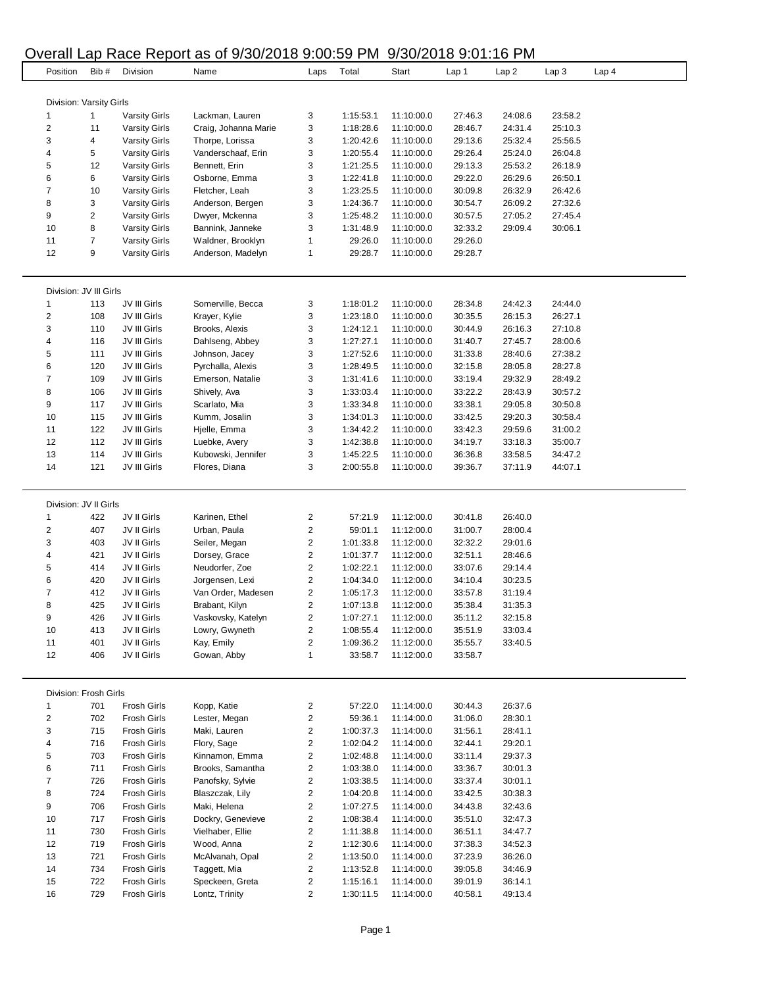## Overall Lap Race Report as of 9/30/2018 9:00:59 PM 9/30/2018 9:01:16 PM

| Position                 | Bib#           | Division             | Name                 | Laps | Total     | Start      | Lap 1   | Lap 2   | Lap <sub>3</sub> | Lap <sub>4</sub> |
|--------------------------|----------------|----------------------|----------------------|------|-----------|------------|---------|---------|------------------|------------------|
|                          |                |                      |                      |      |           |            |         |         |                  |                  |
|                          |                |                      |                      |      |           |            |         |         |                  |                  |
| Division: Varsity Girls  |                |                      |                      |      |           |            |         |         |                  |                  |
| 1                        | $\mathbf{1}$   | <b>Varsity Girls</b> | Lackman, Lauren      | 3    | 1:15:53.1 | 11:10:00.0 | 27:46.3 | 24:08.6 | 23:58.2          |                  |
| $\overline{\mathbf{c}}$  | 11             | <b>Varsity Girls</b> | Craig, Johanna Marie | 3    | 1:18:28.6 | 11:10:00.0 | 28:46.7 | 24:31.4 | 25:10.3          |                  |
| 3                        | 4              | <b>Varsity Girls</b> | Thorpe, Lorissa      | 3    | 1:20:42.6 | 11:10:00.0 | 29:13.6 | 25:32.4 | 25:56.5          |                  |
| 4                        | 5              | <b>Varsity Girls</b> | Vanderschaaf, Erin   | 3    | 1:20:55.4 | 11:10:00.0 | 29:26.4 | 25:24.0 | 26:04.8          |                  |
| 5                        | 12             | <b>Varsity Girls</b> | Bennett, Erin        | 3    | 1:21:25.5 | 11:10:00.0 | 29:13.3 | 25:53.2 | 26:18.9          |                  |
| 6                        | 6              | <b>Varsity Girls</b> | Osborne, Emma        | 3    | 1:22:41.8 | 11:10:00.0 | 29:22.0 | 26:29.6 | 26:50.1          |                  |
| $\overline{7}$           | 10             | <b>Varsity Girls</b> | Fletcher, Leah       | 3    | 1:23:25.5 | 11:10:00.0 | 30:09.8 | 26:32.9 | 26:42.6          |                  |
| 8                        | 3              | <b>Varsity Girls</b> | Anderson, Bergen     | 3    | 1:24:36.7 | 11:10:00.0 | 30:54.7 | 26:09.2 | 27:32.6          |                  |
| 9                        | $\overline{c}$ | <b>Varsity Girls</b> | Dwyer, Mckenna       | 3    | 1:25:48.2 | 11:10:00.0 | 30:57.5 | 27:05.2 | 27:45.4          |                  |
| 10                       | 8              | <b>Varsity Girls</b> | Bannink, Janneke     | 3    | 1:31:48.9 | 11:10:00.0 | 32:33.2 | 29:09.4 | 30:06.1          |                  |
| 11                       | 7              | <b>Varsity Girls</b> | Waldner, Brooklyn    | 1    | 29:26.0   | 11:10:00.0 | 29:26.0 |         |                  |                  |
|                          |                |                      |                      |      |           |            |         |         |                  |                  |
| 12                       | 9              | <b>Varsity Girls</b> | Anderson, Madelyn    | 1    | 29:28.7   | 11:10:00.0 | 29:28.7 |         |                  |                  |
| Division: JV III Girls   |                |                      |                      |      |           |            |         |         |                  |                  |
| 1                        | 113            | JV III Girls         | Somerville, Becca    |      | 1:18:01.2 | 11:10:00.0 | 28:34.8 | 24:42.3 | 24:44.0          |                  |
|                          |                |                      |                      | 3    |           |            |         |         |                  |                  |
| $\overline{\mathbf{c}}$  | 108            | JV III Girls         | Krayer, Kylie        | 3    | 1:23:18.0 | 11:10:00.0 | 30:35.5 | 26:15.3 | 26:27.1          |                  |
| 3                        | 110            | JV III Girls         | Brooks, Alexis       | 3    | 1:24:12.1 | 11:10:00.0 | 30:44.9 | 26:16.3 | 27:10.8          |                  |
| 4                        | 116            | JV III Girls         | Dahlseng, Abbey      | 3    | 1:27:27.1 | 11:10:00.0 | 31:40.7 | 27:45.7 | 28:00.6          |                  |
| 5                        | 111            | JV III Girls         | Johnson, Jacey       | 3    | 1:27:52.6 | 11:10:00.0 | 31:33.8 | 28:40.6 | 27:38.2          |                  |
| 6                        | 120            | JV III Girls         | Pyrchalla, Alexis    | 3    | 1:28:49.5 | 11:10:00.0 | 32:15.8 | 28:05.8 | 28:27.8          |                  |
| $\overline{\mathcal{I}}$ | 109            | JV III Girls         | Emerson, Natalie     | 3    | 1:31:41.6 | 11:10:00.0 | 33:19.4 | 29:32.9 | 28:49.2          |                  |
| 8                        | 106            | JV III Girls         | Shively, Ava         | 3    | 1:33:03.4 | 11:10:00.0 | 33:22.2 | 28:43.9 | 30:57.2          |                  |
| 9                        | 117            | JV III Girls         | Scarlato, Mia        | 3    | 1:33:34.8 | 11:10:00.0 | 33:38.1 | 29:05.8 | 30:50.8          |                  |
| 10                       | 115            | JV III Girls         | Kumm, Josalin        | 3    | 1:34:01.3 | 11:10:00.0 | 33:42.5 | 29:20.3 | 30:58.4          |                  |
| 11                       | 122            | JV III Girls         | Hjelle, Emma         | 3    | 1:34:42.2 | 11:10:00.0 | 33:42.3 | 29:59.6 | 31:00.2          |                  |
| 12                       | 112            | JV III Girls         | Luebke, Avery        | 3    | 1:42:38.8 | 11:10:00.0 | 34:19.7 | 33:18.3 | 35:00.7          |                  |
|                          |                |                      |                      |      |           |            |         |         |                  |                  |
| 13                       | 114            | JV III Girls         | Kubowski, Jennifer   | 3    | 1:45:22.5 | 11:10:00.0 | 36:36.8 | 33:58.5 | 34:47.2          |                  |
| 14                       | 121            | JV III Girls         | Flores, Diana        | 3    | 2:00:55.8 | 11:10:00.0 | 39:36.7 | 37:11.9 | 44:07.1          |                  |
| Division: JV II Girls    |                |                      |                      |      |           |            |         |         |                  |                  |
| 1                        | 422            | JV II Girls          | Karinen, Ethel       | 2    | 57:21.9   | 11:12:00.0 | 30:41.8 | 26:40.0 |                  |                  |
| $\overline{\mathbf{c}}$  | 407            | JV II Girls          | Urban, Paula         | 2    | 59:01.1   | 11:12:00.0 | 31:00.7 | 28:00.4 |                  |                  |
|                          |                |                      |                      |      |           |            |         |         |                  |                  |
| 3                        | 403            | JV II Girls          | Seiler, Megan        | 2    | 1:01:33.8 | 11:12:00.0 | 32:32.2 | 29:01.6 |                  |                  |
| 4                        | 421            | JV II Girls          | Dorsey, Grace        | 2    | 1:01:37.7 | 11:12:00.0 | 32:51.1 | 28:46.6 |                  |                  |
| 5                        | 414            | JV II Girls          | Neudorfer, Zoe       | 2    | 1:02:22.1 | 11:12:00.0 | 33:07.6 | 29:14.4 |                  |                  |
| 6                        | 420            | JV II Girls          | Jorgensen, Lexi      | 2    | 1:04:34.0 | 11:12:00.0 | 34:10.4 | 30:23.5 |                  |                  |
| 7                        | 412            | JV II Girls          | Van Order, Madesen   | 2    | 1:05:17.3 | 11:12:00.0 | 33:57.8 | 31:19.4 |                  |                  |
| 8                        | 425            | JV II Girls          | Brabant, Kilyn       | 2    | 1:07:13.8 | 11:12:00.0 | 35:38.4 | 31:35.3 |                  |                  |
| 9                        | 426            | JV II Girls          | Vaskovsky, Katelyn   | 2    | 1:07:27.1 | 11:12:00.0 | 35:11.2 | 32:15.8 |                  |                  |
| 10                       | 413            | JV II Girls          | Lowry, Gwyneth       | 2    | 1:08:55.4 | 11:12:00.0 | 35:51.9 | 33:03.4 |                  |                  |
| 11                       | 401            | JV II Girls          | Kay, Emily           | 2    | 1:09:36.2 | 11:12:00.0 | 35:55.7 | 33:40.5 |                  |                  |
|                          |                |                      |                      |      |           |            |         |         |                  |                  |
| 12                       | 406            | JV II Girls          | Gowan, Abby          | 1    | 33:58.7   | 11:12:00.0 | 33:58.7 |         |                  |                  |
| Division: Frosh Girls    |                |                      |                      |      |           |            |         |         |                  |                  |
| 1                        | 701            | <b>Frosh Girls</b>   | Kopp, Katie          | 2    | 57:22.0   | 11:14:00.0 | 30:44.3 | 26:37.6 |                  |                  |
|                          |                |                      |                      |      |           |            |         |         |                  |                  |
| $\overline{\mathbf{c}}$  | 702            | <b>Frosh Girls</b>   | Lester, Megan        | 2    | 59:36.1   | 11:14:00.0 | 31:06.0 | 28:30.1 |                  |                  |
| 3                        | 715            | <b>Frosh Girls</b>   | Maki, Lauren         | 2    | 1:00:37.3 | 11:14:00.0 | 31:56.1 | 28:41.1 |                  |                  |
| 4                        | 716            | <b>Frosh Girls</b>   | Flory, Sage          | 2    | 1:02:04.2 | 11:14:00.0 | 32:44.1 | 29:20.1 |                  |                  |
| 5                        | 703            | <b>Frosh Girls</b>   | Kinnamon, Emma       | 2    | 1:02:48.8 | 11:14:00.0 | 33:11.4 | 29:37.3 |                  |                  |
| 6                        | 711            | <b>Frosh Girls</b>   | Brooks, Samantha     | 2    | 1:03:38.0 | 11:14:00.0 | 33:36.7 | 30:01.3 |                  |                  |
| $\overline{7}$           | 726            | <b>Frosh Girls</b>   | Panofsky, Sylvie     | 2    | 1:03:38.5 | 11:14:00.0 | 33:37.4 | 30:01.1 |                  |                  |
| 8                        | 724            | <b>Frosh Girls</b>   | Blaszczak, Lily      | 2    | 1:04:20.8 | 11:14:00.0 | 33:42.5 | 30:38.3 |                  |                  |
| 9                        | 706            | <b>Frosh Girls</b>   | Maki, Helena         | 2    | 1:07:27.5 | 11:14:00.0 | 34:43.8 | 32:43.6 |                  |                  |
| 10                       | 717            | <b>Frosh Girls</b>   | Dockry, Genevieve    | 2    | 1:08:38.4 | 11:14:00.0 | 35:51.0 | 32:47.3 |                  |                  |
|                          |                |                      |                      |      |           |            |         |         |                  |                  |
| 11                       | 730            | <b>Frosh Girls</b>   | Vielhaber, Ellie     | 2    | 1:11:38.8 | 11:14:00.0 | 36:51.1 | 34:47.7 |                  |                  |
| 12                       | 719            | <b>Frosh Girls</b>   | Wood, Anna           | 2    | 1:12:30.6 | 11:14:00.0 | 37:38.3 | 34:52.3 |                  |                  |
| 13                       | 721            | <b>Frosh Girls</b>   | McAlvanah, Opal      | 2    | 1:13:50.0 | 11:14:00.0 | 37:23.9 | 36:26.0 |                  |                  |
| 14                       | 734            | <b>Frosh Girls</b>   | Taggett, Mia         | 2    | 1:13:52.8 | 11:14:00.0 | 39:05.8 | 34:46.9 |                  |                  |
| 15                       | 722            | <b>Frosh Girls</b>   | Speckeen, Greta      | 2    | 1:15:16.1 | 11:14:00.0 | 39:01.9 | 36:14.1 |                  |                  |
| 16                       | 729            | Frosh Girls          | Lontz, Trinity       | 2    | 1:30:11.5 | 11:14:00.0 | 40:58.1 | 49:13.4 |                  |                  |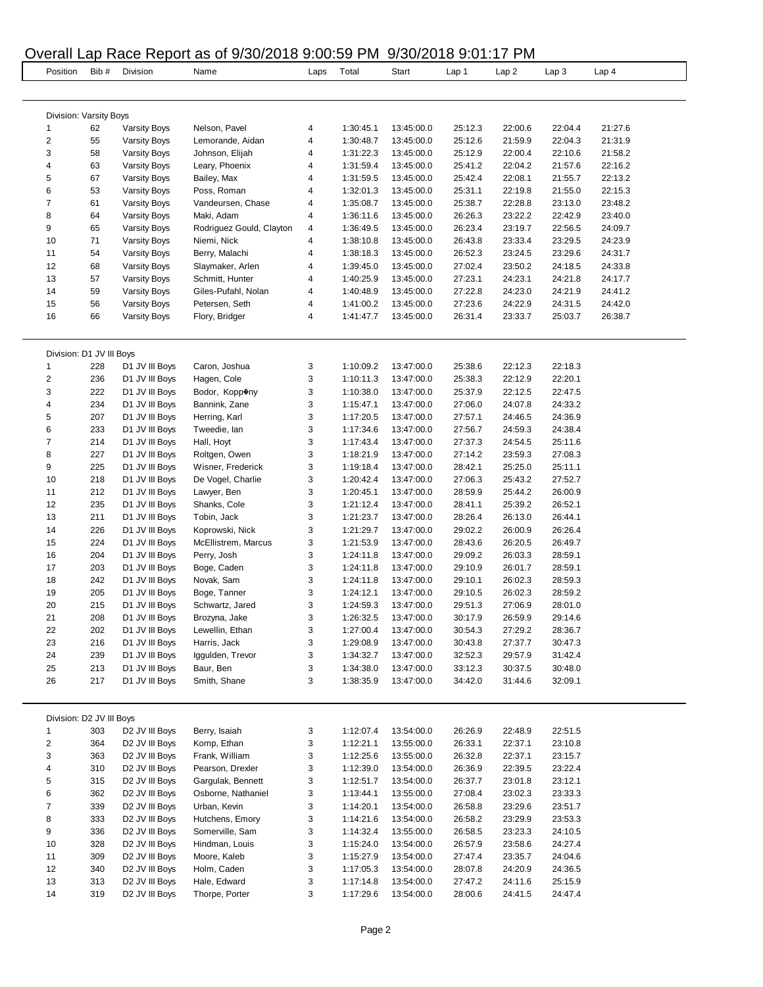## Overall Lap Race Report as of 9/30/2018 9:00:59 PM 9/30/2018 9:01:17 PM

|                               |      |                            | <b>Verall Lap Race Report as OF 3/30/2010 3.00.03 Fivil</b> |      |           | 31301210331111111 |         |         |                  |                  |
|-------------------------------|------|----------------------------|-------------------------------------------------------------|------|-----------|-------------------|---------|---------|------------------|------------------|
| Position                      | Bib# | Division                   | Name                                                        | Laps | Total     | Start             | Lap 1   | Lap2    | Lap <sub>3</sub> | Lap <sub>4</sub> |
|                               |      |                            |                                                             |      |           |                   |         |         |                  |                  |
| Division: Varsity Boys        |      |                            |                                                             |      |           |                   |         |         |                  |                  |
| 1                             | 62   | <b>Varsity Boys</b>        | Nelson, Pavel                                               | 4    | 1:30:45.1 | 13:45:00.0        | 25:12.3 | 22:00.6 | 22:04.4          | 21:27.6          |
| $\overline{c}$                | 55   | Varsity Boys               | Lemorande, Aidan                                            | 4    | 1:30:48.7 | 13:45:00.0        | 25:12.6 | 21:59.9 | 22:04.3          | 21:31.9          |
| 3                             | 58   | <b>Varsity Boys</b>        | Johnson, Elijah                                             | 4    | 1:31:22.3 | 13:45:00.0        | 25:12.9 | 22:00.4 | 22:10.6          | 21:58.2          |
| 4                             | 63   | <b>Varsity Boys</b>        | Leary, Phoenix                                              | 4    | 1:31:59.4 | 13:45:00.0        | 25:41.2 | 22:04.2 | 21:57.6          | 22:16.2          |
| 5                             | 67   | Varsity Boys               | Bailey, Max                                                 | 4    | 1:31:59.5 | 13:45:00.0        | 25:42.4 | 22:08.1 | 21:55.7          | 22:13.2          |
| 6                             | 53   | <b>Varsity Boys</b>        | Poss, Roman                                                 | 4    | 1:32:01.3 | 13:45:00.0        | 25:31.1 | 22:19.8 | 21:55.0          | 22:15.3          |
| $\overline{7}$                | 61   | Varsity Boys               | Vandeursen, Chase                                           | 4    | 1:35:08.7 | 13:45:00.0        | 25:38.7 | 22:28.8 | 23:13.0          | 23:48.2          |
| 8                             | 64   | <b>Varsity Boys</b>        | Maki, Adam                                                  | 4    | 1:36:11.6 | 13:45:00.0        | 26:26.3 | 23:22.2 | 22:42.9          | 23:40.0          |
| 9                             | 65   | <b>Varsity Boys</b>        | Rodriguez Gould, Clayton                                    | 4    | 1:36:49.5 | 13:45:00.0        | 26:23.4 | 23:19.7 | 22:56.5          | 24:09.7          |
| 10                            | 71   | <b>Varsity Boys</b>        | Niemi, Nick                                                 | 4    | 1:38:10.8 | 13:45:00.0        | 26:43.8 | 23:33.4 | 23:29.5          | 24:23.9          |
| 11                            | 54   | <b>Varsity Boys</b>        | Berry, Malachi                                              | 4    | 1:38:18.3 | 13:45:00.0        | 26:52.3 | 23:24.5 | 23:29.6          | 24:31.7          |
| 12                            | 68   | <b>Varsity Boys</b>        | Slaymaker, Arlen                                            | 4    | 1:39:45.0 | 13:45:00.0        | 27:02.4 | 23:50.2 | 24:18.5          | 24:33.8          |
| 13                            | 57   | <b>Varsity Boys</b>        | Schmitt, Hunter                                             | 4    | 1:40:25.9 | 13:45:00.0        | 27:23.1 | 24:23.1 | 24:21.8          | 24:17.7          |
| 14                            | 59   |                            |                                                             | 4    | 1:40:48.9 |                   | 27:22.8 | 24:23.0 | 24:21.9          | 24:41.2          |
|                               |      | <b>Varsity Boys</b>        | Giles-Pufahl, Nolan                                         |      |           | 13:45:00.0        |         |         |                  |                  |
| 15                            | 56   | <b>Varsity Boys</b>        | Petersen, Seth                                              | 4    | 1:41:00.2 | 13:45:00.0        | 27:23.6 | 24:22.9 | 24:31.5          | 24:42.0          |
| 16                            | 66   | Varsity Boys               | Flory, Bridger                                              | 4    | 1:41:47.7 | 13:45:00.0        | 26:31.4 | 23:33.7 | 25:03.7          | 26:38.7          |
|                               |      |                            |                                                             |      |           |                   |         |         |                  |                  |
| Division: D1 JV III Boys<br>1 |      | D1 JV III Boys             | Caron, Joshua                                               |      | 1:10:09.2 | 13:47:00.0        |         | 22:12.3 | 22:18.3          |                  |
|                               | 228  |                            |                                                             | 3    |           |                   | 25:38.6 |         |                  |                  |
| $\overline{\mathbf{c}}$       | 236  | D1 JV III Boys             | Hagen, Cole                                                 | 3    | 1:10:11.3 | 13:47:00.0        | 25:38.3 | 22:12.9 | 22:20.1          |                  |
| 3                             | 222  | D1 JV III Boys             | Bodor, Kopp®ny                                              | 3    | 1:10:38.0 | 13:47:00.0        | 25:37.9 | 22:12.5 | 22:47.5          |                  |
| 4                             | 234  | D1 JV III Boys             | Bannink, Zane                                               | 3    | 1:15:47.1 | 13:47:00.0        | 27:06.0 | 24:07.8 | 24:33.2          |                  |
| 5                             | 207  | D1 JV III Boys             | Herring, Karl                                               | 3    | 1:17:20.5 | 13:47:00.0        | 27:57.1 | 24:46.5 | 24:36.9          |                  |
| 6                             | 233  | D1 JV III Boys             | Tweedie, lan                                                | 3    | 1:17:34.6 | 13:47:00.0        | 27:56.7 | 24:59.3 | 24:38.4          |                  |
| $\overline{7}$                | 214  | D1 JV III Boys             | Hall, Hoyt                                                  | 3    | 1:17:43.4 | 13:47:00.0        | 27:37.3 | 24:54.5 | 25:11.6          |                  |
| 8                             | 227  | D1 JV III Boys             | Roltgen, Owen                                               | 3    | 1:18:21.9 | 13:47:00.0        | 27:14.2 | 23:59.3 | 27:08.3          |                  |
| 9                             | 225  | D1 JV III Boys             | Wisner, Frederick                                           | 3    | 1:19:18.4 | 13:47:00.0        | 28:42.1 | 25:25.0 | 25:11.1          |                  |
| 10                            | 218  | D1 JV III Boys             | De Vogel, Charlie                                           | 3    | 1:20:42.4 | 13:47:00.0        | 27:06.3 | 25:43.2 | 27:52.7          |                  |
| 11                            | 212  | D1 JV III Boys             | Lawyer, Ben                                                 | 3    | 1:20:45.1 | 13:47:00.0        | 28:59.9 | 25:44.2 | 26:00.9          |                  |
| 12                            | 235  | D1 JV III Boys             | Shanks, Cole                                                | 3    | 1:21:12.4 | 13:47:00.0        | 28:41.1 | 25:39.2 | 26:52.1          |                  |
| 13                            | 211  | D1 JV III Boys             | Tobin, Jack                                                 | 3    | 1:21:23.7 | 13:47:00.0        | 28:26.4 | 26:13.0 | 26:44.1          |                  |
| 14                            | 226  | D1 JV III Boys             | Koprowski, Nick                                             | 3    | 1:21:29.7 | 13:47:00.0        | 29:02.2 | 26:00.9 | 26:26.4          |                  |
| 15                            | 224  | D1 JV III Boys             | McEllistrem, Marcus                                         | 3    | 1:21:53.9 | 13:47:00.0        | 28:43.6 | 26:20.5 | 26:49.7          |                  |
| 16                            | 204  | D1 JV III Boys             | Perry, Josh                                                 | 3    | 1:24:11.8 | 13:47:00.0        | 29:09.2 | 26:03.3 | 28:59.1          |                  |
| 17                            | 203  | D1 JV III Boys             | Boge, Caden                                                 | 3    | 1:24:11.8 | 13:47:00.0        | 29:10.9 | 26:01.7 | 28:59.1          |                  |
|                               |      |                            |                                                             |      |           |                   |         |         |                  |                  |
| 18                            | 242  | D1 JV III Boys             | Novak, Sam                                                  | 3    | 1:24:11.8 | 13:47:00.0        | 29:10.1 | 26:02.3 | 28:59.3          |                  |
| 19                            | 205  | D1 JV III Boys             | Boge, Tanner                                                | 3    | 1:24:12.1 | 13:47:00.0        | 29:10.5 | 26:02.3 | 28:59.2          |                  |
| 20                            | 215  | D1 JV III Boys             | Schwartz, Jared                                             | 3    | 1:24:59.3 | 13:47:00.0        | 29:51.3 | 27:06.9 | 28:01.0          |                  |
| 21                            | 208  | D1 JV III Boys             | Brozyna, Jake                                               | 3    | 1:26:32.5 | 13:47:00.0        | 30:17.9 | 26:59.9 | 29:14.6          |                  |
| 22                            | 202  | D1 JV III Boys             | Lewellin, Ethan                                             | 3    | 1:27:00.4 | 13:47:00.0        | 30:54.3 | 27:29.2 | 28:36.7          |                  |
| 23                            | 216  | D1 JV III Boys             | Harris, Jack                                                | 3    | 1:29:08.9 | 13:47:00.0        | 30:43.8 | 27:37.7 | 30:47.3          |                  |
| 24                            | 239  | D1 JV III Boys             | Iggulden, Trevor                                            | 3    | 1:34:32.7 | 13:47:00.0        | 32:52.3 | 29:57.9 | 31:42.4          |                  |
| 25                            | 213  | D1 JV III Boys             | Baur, Ben                                                   | 3    | 1:34:38.0 | 13:47:00.0        | 33:12.3 | 30:37.5 | 30:48.0          |                  |
| 26                            | 217  | D1 JV III Boys             | Smith, Shane                                                | 3    | 1:38:35.9 | 13:47:00.0        | 34:42.0 | 31:44.6 | 32:09.1          |                  |
|                               |      |                            |                                                             |      |           |                   |         |         |                  |                  |
| Division: D2 JV III Boys      |      |                            |                                                             |      |           |                   |         |         |                  |                  |
| 1                             | 303  | D2 JV III Boys             | Berry, Isaiah                                               | 3    | 1:12:07.4 | 13:54:00.0        | 26:26.9 | 22:48.9 | 22:51.5          |                  |
| 2                             | 364  | D2 JV III Boys             | Komp, Ethan                                                 | 3    | 1:12:21.1 | 13:55:00.0        | 26:33.1 | 22:37.1 | 23:10.8          |                  |
| 3                             | 363  | D2 JV III Boys             | Frank, William                                              | 3    | 1:12:25.6 | 13:55:00.0        | 26:32.8 | 22:37.1 | 23:15.7          |                  |
| 4                             | 310  | D <sub>2</sub> JV III Boys | Pearson, Drexler                                            | 3    | 1:12:39.0 | 13:54:00.0        | 26:36.9 | 22:39.5 | 23:22.4          |                  |
| 5                             | 315  | D2 JV III Boys             | Gargulak, Bennett                                           | 3    | 1:12:51.7 | 13:54:00.0        | 26:37.7 | 23:01.8 | 23:12.1          |                  |
| 6                             | 362  | D2 JV III Boys             | Osborne, Nathaniel                                          | 3    | 1:13:44.1 | 13:55:00.0        | 27:08.4 | 23:02.3 | 23:33.3          |                  |
| 7                             | 339  | D <sub>2</sub> JV III Boys | Urban, Kevin                                                | 3    | 1:14:20.1 | 13:54:00.0        | 26:58.8 | 23:29.6 | 23:51.7          |                  |
| 8                             | 333  | D2 JV III Boys             | Hutchens, Emory                                             | 3    | 1:14:21.6 | 13:54:00.0        | 26:58.2 | 23:29.9 | 23:53.3          |                  |
| 9                             | 336  | D <sub>2</sub> JV III Boys | Somerville, Sam                                             | 3    | 1:14:32.4 | 13:55:00.0        | 26:58.5 | 23:23.3 | 24:10.5          |                  |
| 10                            | 328  | D2 JV III Boys             | Hindman, Louis                                              | 3    | 1:15:24.0 | 13:54:00.0        | 26:57.9 | 23:58.6 | 24:27.4          |                  |
| 11                            |      |                            |                                                             | 3    |           |                   |         |         |                  |                  |
|                               | 309  | D2 JV III Boys             | Moore, Kaleb                                                |      | 1:15:27.9 | 13:54:00.0        | 27:47.4 | 23:35.7 | 24:04.6          |                  |
| 12                            | 340  | D2 JV III Boys             | Holm, Caden                                                 | 3    | 1:17:05.3 | 13:54:00.0        | 28:07.8 | 24:20.9 | 24:36.5          |                  |
| 13                            | 313  | D <sub>2</sub> JV III Boys | Hale, Edward                                                | 3    | 1:17:14.8 | 13:54:00.0        | 27:47.2 | 24:11.6 | 25:15.9          |                  |
| 14                            | 319  | D2 JV III Boys             | Thorpe, Porter                                              | 3    | 1:17:29.6 | 13:54:00.0        | 28:00.6 | 24:41.5 | 24:47.4          |                  |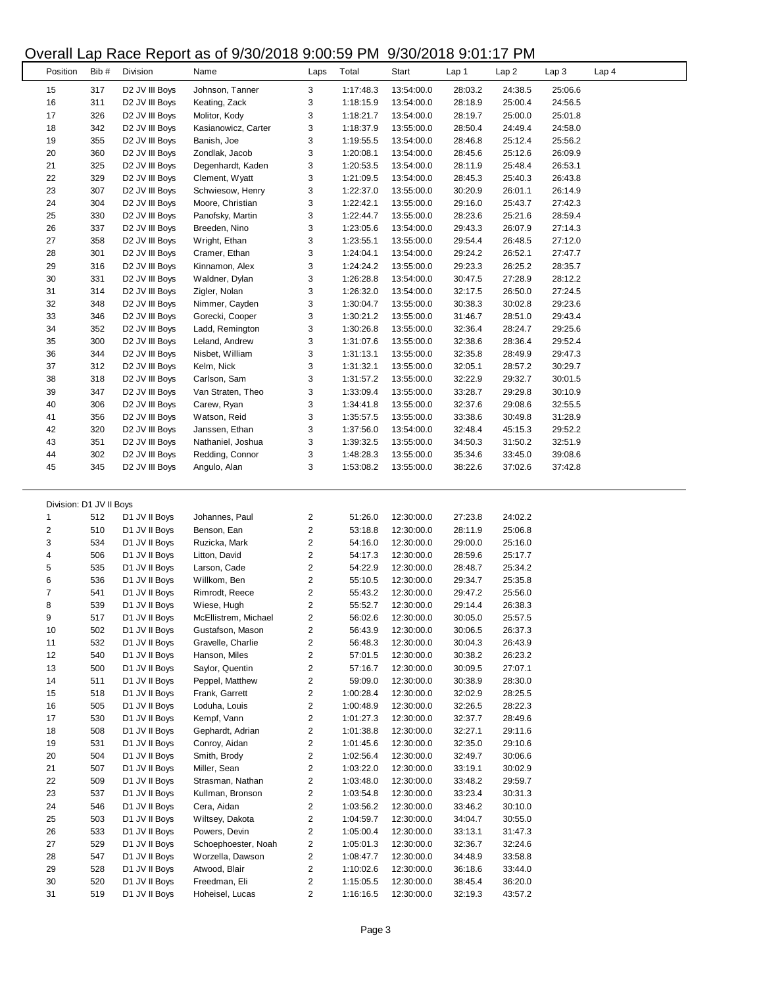| Overall Lap Race Report as of 9/30/2018 9:00:59 PM 9/30/2018 9:01:17 PM |      |                            |                      |                         |           |            |         |         |                  |                  |  |
|-------------------------------------------------------------------------|------|----------------------------|----------------------|-------------------------|-----------|------------|---------|---------|------------------|------------------|--|
| Position                                                                | Bib# | Division                   | Name                 | Laps                    | Total     | Start      | Lap 1   | Lap2    | Lap <sub>3</sub> | Lap <sub>4</sub> |  |
| 15                                                                      | 317  | D2 JV III Boys             | Johnson, Tanner      | 3                       | 1:17:48.3 | 13:54:00.0 | 28:03.2 | 24:38.5 | 25:06.6          |                  |  |
| 16                                                                      | 311  | D <sub>2</sub> JV III Boys | Keating, Zack        | 3                       | 1:18:15.9 | 13:54:00.0 | 28:18.9 | 25:00.4 | 24:56.5          |                  |  |
| 17                                                                      | 326  | D <sub>2</sub> JV III Boys | Molitor, Kody        | 3                       | 1:18:21.7 | 13:54:00.0 | 28:19.7 | 25:00.0 | 25:01.8          |                  |  |
| 18                                                                      | 342  | D <sub>2</sub> JV III Boys | Kasianowicz, Carter  | 3                       | 1:18:37.9 | 13:55:00.0 | 28:50.4 | 24:49.4 | 24:58.0          |                  |  |
| 19                                                                      | 355  | D <sub>2</sub> JV III Boys | Banish, Joe          | 3                       | 1:19:55.5 | 13:54:00.0 | 28:46.8 | 25:12.4 | 25:56.2          |                  |  |
| 20                                                                      | 360  | D2 JV III Boys             | Zondlak, Jacob       | 3                       | 1:20:08.1 | 13:54:00.0 | 28:45.6 | 25:12.6 | 26:09.9          |                  |  |
| 21                                                                      | 325  | D <sub>2</sub> JV III Boys | Degenhardt, Kaden    | 3                       | 1:20:53.5 | 13:54:00.0 | 28:11.9 | 25:48.4 | 26:53.1          |                  |  |
| 22                                                                      | 329  | D2 JV III Boys             | Clement, Wyatt       | 3                       | 1:21:09.5 | 13:54:00.0 | 28:45.3 | 25:40.3 | 26:43.8          |                  |  |
| 23                                                                      | 307  | D <sub>2</sub> JV III Boys | Schwiesow, Henry     | 3                       | 1:22:37.0 | 13:55:00.0 | 30:20.9 | 26:01.1 | 26:14.9          |                  |  |
| 24                                                                      | 304  | D2 JV III Boys             | Moore, Christian     | 3                       | 1:22:42.1 | 13:55:00.0 | 29:16.0 | 25:43.7 | 27:42.3          |                  |  |
| 25                                                                      | 330  | D2 JV III Boys             | Panofsky, Martin     | 3                       | 1:22:44.7 | 13:55:00.0 | 28:23.6 | 25:21.6 | 28:59.4          |                  |  |
| 26                                                                      | 337  | D <sub>2</sub> JV III Boys | Breeden, Nino        | 3                       | 1:23:05.6 | 13:54:00.0 | 29:43.3 | 26:07.9 | 27:14.3          |                  |  |
| 27                                                                      | 358  | D <sub>2</sub> JV III Boys | Wright, Ethan        | 3                       | 1:23:55.1 | 13:55:00.0 | 29:54.4 | 26:48.5 | 27:12.0          |                  |  |
| 28                                                                      | 301  | D <sub>2</sub> JV III Boys | Cramer, Ethan        | 3                       | 1:24:04.1 | 13:54:00.0 | 29:24.2 | 26:52.1 | 27:47.7          |                  |  |
| 29                                                                      | 316  | D <sub>2</sub> JV III Boys | Kinnamon, Alex       | 3                       | 1:24:24.2 | 13:55:00.0 | 29:23.3 | 26:25.2 | 28:35.7          |                  |  |
| 30                                                                      | 331  | D2 JV III Boys             | Waldner, Dylan       | 3                       | 1:26:28.8 | 13:54:00.0 | 30:47.5 | 27:28.9 | 28:12.2          |                  |  |
| 31                                                                      | 314  | D2 JV III Boys             | Zigler, Nolan        | 3                       | 1:26:32.0 | 13:54:00.0 | 32:17.5 | 26:50.0 | 27:24.5          |                  |  |
| 32                                                                      | 348  | D2 JV III Boys             | Nimmer, Cayden       | 3                       | 1:30:04.7 | 13:55:00.0 | 30:38.3 | 30:02.8 | 29:23.6          |                  |  |
| 33                                                                      | 346  | D2 JV III Boys             | Gorecki, Cooper      | 3                       | 1:30:21.2 | 13:55:00.0 | 31:46.7 | 28:51.0 | 29:43.4          |                  |  |
| 34                                                                      | 352  | D <sub>2</sub> JV III Boys | Ladd, Remington      | 3                       | 1:30:26.8 | 13:55:00.0 | 32:36.4 | 28:24.7 | 29:25.6          |                  |  |
| 35                                                                      | 300  | D <sub>2</sub> JV III Boys | Leland, Andrew       | 3                       | 1:31:07.6 | 13:55:00.0 | 32:38.6 | 28:36.4 | 29:52.4          |                  |  |
| 36                                                                      | 344  | D <sub>2</sub> JV III Boys | Nisbet, William      | 3                       | 1:31:13.1 | 13:55:00.0 | 32:35.8 | 28:49.9 | 29:47.3          |                  |  |
| 37                                                                      | 312  | D2 JV III Boys             | Kelm, Nick           | 3                       | 1:31:32.1 | 13:55:00.0 | 32:05.1 | 28:57.2 | 30:29.7          |                  |  |
| 38                                                                      | 318  | D2 JV III Boys             | Carlson, Sam         | 3                       | 1:31:57.2 | 13:55:00.0 | 32:22.9 | 29:32.7 | 30:01.5          |                  |  |
| 39                                                                      | 347  | D2 JV III Boys             | Van Straten, Theo    | 3                       | 1:33:09.4 | 13:55:00.0 | 33:28.7 | 29:29.8 | 30:10.9          |                  |  |
| 40                                                                      | 306  | D2 JV III Boys             | Carew, Ryan          | 3                       | 1:34:41.8 | 13:55:00.0 | 32:37.6 | 29:08.6 | 32:55.5          |                  |  |
| 41                                                                      | 356  | D <sub>2</sub> JV III Boys | Watson, Reid         | 3                       | 1:35:57.5 | 13:55:00.0 | 33:38.6 | 30:49.8 | 31:28.9          |                  |  |
| 42                                                                      | 320  | D <sub>2</sub> JV III Boys | Janssen, Ethan       | 3                       | 1:37:56.0 | 13:54:00.0 | 32:48.4 | 45:15.3 | 29:52.2          |                  |  |
| 43                                                                      | 351  | D <sub>2</sub> JV III Boys | Nathaniel, Joshua    | 3                       | 1:39:32.5 | 13:55:00.0 | 34:50.3 | 31:50.2 | 32:51.9          |                  |  |
| 44                                                                      | 302  | D <sub>2</sub> JV III Boys | Redding, Connor      | 3                       | 1:48:28.3 | 13:55:00.0 | 35:34.6 | 33:45.0 | 39:08.6          |                  |  |
| 45                                                                      | 345  | D <sub>2</sub> JV III Boys | Angulo, Alan         | 3                       | 1:53:08.2 | 13:55:00.0 | 38:22.6 | 37:02.6 | 37:42.8          |                  |  |
|                                                                         |      |                            |                      |                         |           |            |         |         |                  |                  |  |
| Division: D1 JV II Boys                                                 |      |                            |                      |                         |           |            |         |         |                  |                  |  |
| $\mathbf{1}$                                                            | 512  | D1 JV II Boys              | Johannes, Paul       | 2                       | 51:26.0   | 12:30:00.0 | 27:23.8 | 24:02.2 |                  |                  |  |
| $\overline{\mathbf{c}}$                                                 | 510  | D1 JV II Boys              | Benson, Ean          | 2                       | 53:18.8   | 12:30:00.0 | 28:11.9 | 25:06.8 |                  |                  |  |
| 3                                                                       | 534  | D1 JV II Boys              | Ruzicka, Mark        | $\overline{\mathbf{c}}$ | 54:16.0   | 12:30:00.0 | 29:00.0 | 25:16.0 |                  |                  |  |
| 4                                                                       | 506  | D1 JV II Boys              | Litton, David        | 2                       | 54:17.3   | 12:30:00.0 | 28:59.6 | 25:17.7 |                  |                  |  |
| 5                                                                       | 535  | D1 JV II Boys              | Larson, Cade         | $\overline{\mathbf{c}}$ | 54:22.9   | 12:30:00.0 | 28:48.7 | 25:34.2 |                  |                  |  |
| 6                                                                       | 536  | D1 JV II Boys              | Willkom, Ben         | 2                       | 55:10.5   | 12:30:00.0 | 29:34.7 | 25:35.8 |                  |                  |  |
| 7                                                                       | 541  | D1 JV II Boys              | Rimrodt, Reece       | 2                       | 55:43.2   | 12:30:00.0 | 29:47.2 | 25:56.0 |                  |                  |  |
| 8                                                                       | 539  | D1 JV II Boys              | Wiese, Hugh          | 2                       | 55:52.7   | 12:30:00.0 | 29:14.4 | 26:38.3 |                  |                  |  |
| 9                                                                       | 517  | D1 JV II Boys              | McEllistrem, Michael | $\overline{\mathbf{c}}$ | 56:02.6   | 12:30:00.0 | 30:05.0 | 25:57.5 |                  |                  |  |
| 10                                                                      | 502  | D1 JV II Boys              | Gustafson, Mason     | 2                       | 56:43.9   | 12:30:00.0 | 30:06.5 | 26:37.3 |                  |                  |  |
| 11                                                                      | 532  | D1 JV II Boys              | Gravelle, Charlie    | $\overline{\mathbf{c}}$ | 56:48.3   | 12:30:00.0 | 30:04.3 | 26:43.9 |                  |                  |  |
| 12                                                                      | 540  | D1 JV II Boys              | Hanson, Miles        | 2                       | 57:01.5   | 12:30:00.0 | 30:38.2 | 26:23.2 |                  |                  |  |
| 13                                                                      | 500  | D1 JV II Boys              | Saylor, Quentin      | 2                       | 57:16.7   | 12:30:00.0 | 30:09.5 | 27:07.1 |                  |                  |  |
| 14                                                                      | 511  | D1 JV II Boys              | Peppel, Matthew      | 2                       | 59:09.0   | 12:30:00.0 | 30:38.9 | 28:30.0 |                  |                  |  |
| 15                                                                      | 518  | D1 JV II Boys              | Frank, Garrett       | 2                       | 1:00:28.4 | 12:30:00.0 | 32:02.9 | 28:25.5 |                  |                  |  |
| 16                                                                      | 505  | D1 JV II Boys              | Loduha, Louis        | 2                       | 1:00:48.9 | 12:30:00.0 | 32:26.5 | 28:22.3 |                  |                  |  |
| 17                                                                      | 530  | D1 JV II Boys              | Kempf, Vann          | 2                       | 1:01:27.3 | 12:30:00.0 | 32:37.7 | 28:49.6 |                  |                  |  |
| 18                                                                      | 508  | D1 JV II Boys              | Gephardt, Adrian     | 2                       | 1:01:38.8 | 12:30:00.0 | 32:27.1 | 29:11.6 |                  |                  |  |
| 19                                                                      | 531  | D1 JV II Boys              | Conroy, Aidan        | 2                       | 1:01:45.6 | 12:30:00.0 | 32:35.0 | 29:10.6 |                  |                  |  |
| 20                                                                      | 504  | D1 JV II Boys              | Smith, Brody         | 2                       | 1:02:56.4 | 12:30:00.0 | 32:49.7 | 30:06.6 |                  |                  |  |
| 21                                                                      | 507  | D1 JV II Boys              | Miller, Sean         | 2                       | 1:03:22.0 | 12:30:00.0 | 33:19.1 | 30:02.9 |                  |                  |  |
| 22                                                                      | 509  | D1 JV II Boys              | Strasman, Nathan     | 2                       | 1:03:48.0 | 12:30:00.0 | 33:48.2 | 29:59.7 |                  |                  |  |
| 23                                                                      | 537  | D1 JV II Boys              | Kullman, Bronson     | 2                       | 1:03:54.8 | 12:30:00.0 | 33:23.4 | 30:31.3 |                  |                  |  |
| 24                                                                      | 546  | D1 JV II Boys              | Cera, Aidan          | $\overline{\mathbf{c}}$ | 1:03:56.2 | 12:30:00.0 | 33:46.2 | 30:10.0 |                  |                  |  |
| 25                                                                      | 503  | D1 JV II Boys              | Wiltsey, Dakota      | 2                       | 1:04:59.7 | 12:30:00.0 | 34:04.7 | 30:55.0 |                  |                  |  |
| 26                                                                      | 533  | D1 JV II Boys              | Powers, Devin        | 2                       | 1:05:00.4 | 12:30:00.0 | 33:13.1 | 31:47.3 |                  |                  |  |
| 27                                                                      | 529  | D1 JV II Boys              | Schoephoester, Noah  | 2                       | 1:05:01.3 | 12:30:00.0 | 32:36.7 | 32:24.6 |                  |                  |  |
| 28                                                                      | 547  | D1 JV II Boys              | Worzella, Dawson     | 2                       | 1:08:47.7 | 12:30:00.0 | 34:48.9 | 33:58.8 |                  |                  |  |
| 29                                                                      | 528  | D1 JV II Boys              | Atwood, Blair        | 2                       | 1:10:02.6 | 12:30:00.0 | 36:18.6 | 33:44.0 |                  |                  |  |
| 30                                                                      | 520  | D1 JV II Boys              | Freedman, Eli        | 2                       | 1:15:05.5 | 12:30:00.0 | 38:45.4 | 36:20.0 |                  |                  |  |
| 31                                                                      | 519  | D1 JV II Boys              | Hoheisel, Lucas      | 2                       | 1:16:16.5 | 12:30:00.0 | 32:19.3 | 43:57.2 |                  |                  |  |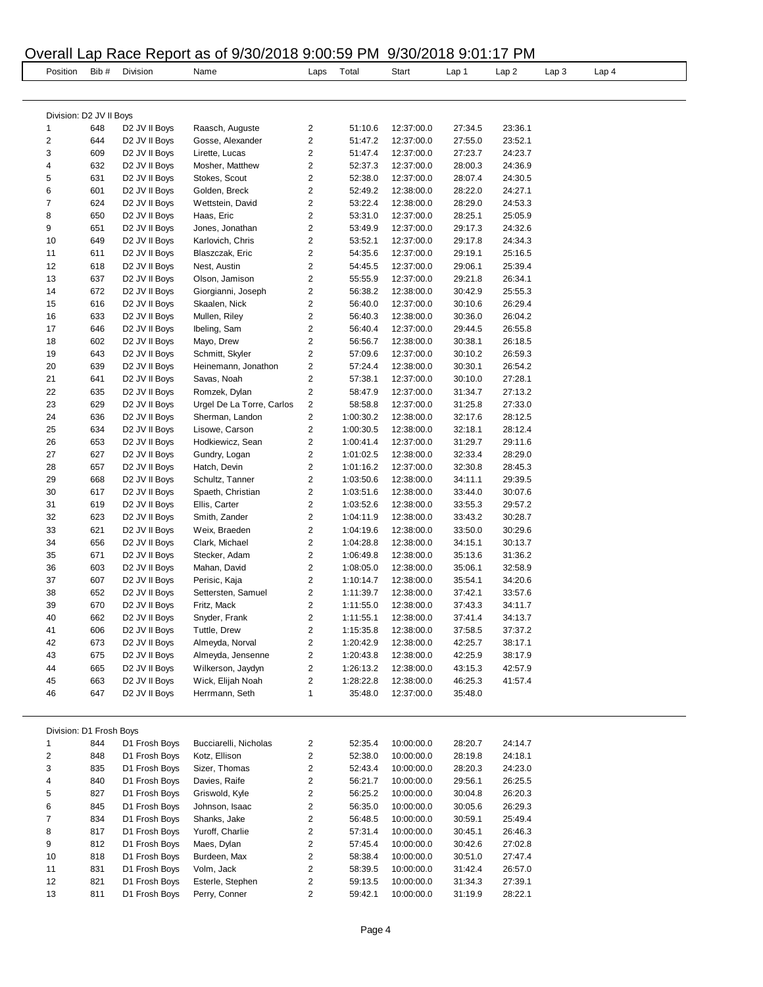# Overall Lap Race Report as of 9/30/2018 9:00:59 PM 9/30/2018 9:01:17 PM

|                         |            |                                                        | Overall Lap Race Report as of 9/30/2018 9:00:59 PM 9/30/2018 9:01:17 PM |                         |                        |                          |                    |                    |                  |       |  |
|-------------------------|------------|--------------------------------------------------------|-------------------------------------------------------------------------|-------------------------|------------------------|--------------------------|--------------------|--------------------|------------------|-------|--|
| Position                | Bib#       | Division                                               | Name                                                                    | Laps                    | Total                  | Start                    | Lap 1              | Lap <sub>2</sub>   | Lap <sub>3</sub> | Lap 4 |  |
|                         |            |                                                        |                                                                         |                         |                        |                          |                    |                    |                  |       |  |
| Division: D2 JV II Boys |            |                                                        |                                                                         |                         |                        |                          |                    |                    |                  |       |  |
| $\mathbf{1}$            | 648        | D2 JV II Boys                                          | Raasch, Auguste                                                         | 2                       | 51:10.6                | 12:37:00.0               | 27:34.5            | 23:36.1            |                  |       |  |
| $\overline{\mathbf{c}}$ | 644        | D2 JV II Boys                                          | Gosse, Alexander                                                        | 2                       | 51:47.2                | 12:37:00.0               | 27:55.0            | 23:52.1            |                  |       |  |
| 3                       | 609        | D <sub>2</sub> JV II Boys                              | Lirette, Lucas                                                          | 2                       | 51:47.4                | 12:37:00.0               | 27:23.7            | 24:23.7            |                  |       |  |
| 4                       | 632        | D2 JV II Boys                                          | Mosher, Matthew                                                         | 2                       | 52:37.3                | 12:37:00.0               | 28:00.3            | 24:36.9            |                  |       |  |
| 5                       | 631        | D <sub>2</sub> JV II Boys                              | Stokes, Scout                                                           | $\overline{\mathbf{c}}$ | 52:38.0                | 12:37:00.0               | 28:07.4            | 24:30.5            |                  |       |  |
| 6                       | 601        | D <sub>2</sub> JV II Boys                              | Golden, Breck                                                           | 2                       | 52:49.2                | 12:38:00.0               | 28:22.0            | 24:27.1            |                  |       |  |
| $\overline{7}$          | 624        | D <sub>2</sub> JV II Boys                              | Wettstein, David                                                        | 2                       | 53:22.4                | 12:38:00.0               | 28:29.0            | 24:53.3            |                  |       |  |
| 8                       | 650        | D <sub>2</sub> JV II Boys                              | Haas, Eric                                                              | 2                       | 53:31.0                | 12:37:00.0               | 28:25.1            | 25:05.9            |                  |       |  |
| 9<br>10                 | 651<br>649 | D <sub>2</sub> JV II Boys<br>D2 JV II Boys             | Jones, Jonathan<br>Karlovich, Chris                                     | 2<br>2                  | 53:49.9<br>53:52.1     | 12:37:00.0<br>12:37:00.0 | 29:17.3<br>29:17.8 | 24:32.6<br>24:34.3 |                  |       |  |
| 11                      | 611        | D <sub>2</sub> JV II Boys                              | Blaszczak, Eric                                                         | $\overline{\mathbf{c}}$ | 54:35.6                | 12:37:00.0               | 29:19.1            | 25:16.5            |                  |       |  |
| 12                      | 618        | D <sub>2</sub> JV II Boys                              | Nest, Austin                                                            | 2                       | 54:45.5                | 12:37:00.0               | 29:06.1            | 25:39.4            |                  |       |  |
| 13                      | 637        | D <sub>2</sub> JV II Boys                              | Olson, Jamison                                                          | $\overline{\mathbf{c}}$ | 55:55.9                | 12:37:00.0               | 29:21.8            | 26:34.1            |                  |       |  |
| 14                      | 672        | D <sub>2</sub> JV II Boys                              | Giorgianni, Joseph                                                      | 2                       | 56:38.2                | 12:38:00.0               | 30:42.9            | 25:55.3            |                  |       |  |
| 15                      | 616        | D <sub>2</sub> JV II Boys                              | Skaalen, Nick                                                           | $\overline{\mathbf{c}}$ | 56:40.0                | 12:37:00.0               | 30:10.6            | 26:29.4            |                  |       |  |
| 16                      | 633        | D <sub>2</sub> JV II Boys                              | Mullen, Riley                                                           | $\overline{\mathbf{c}}$ | 56:40.3                | 12:38:00.0               | 30:36.0            | 26:04.2            |                  |       |  |
| 17                      | 646        | D <sub>2</sub> JV II Boys                              | Ibeling, Sam                                                            | 2                       | 56:40.4                | 12:37:00.0               | 29:44.5            | 26:55.8            |                  |       |  |
| 18                      | 602        | D <sub>2</sub> JV II Boys                              | Mayo, Drew                                                              | 2                       | 56:56.7                | 12:38:00.0               | 30:38.1            | 26:18.5            |                  |       |  |
| 19                      | 643        | D <sub>2</sub> JV II Boys                              | Schmitt, Skyler                                                         | $\overline{\mathbf{c}}$ | 57:09.6                | 12:37:00.0               | 30:10.2            | 26:59.3            |                  |       |  |
| 20                      | 639        | D <sub>2</sub> JV II Boys                              | Heinemann, Jonathon                                                     | 2                       | 57:24.4                | 12:38:00.0               | 30:30.1            | 26:54.2            |                  |       |  |
| 21                      | 641        | D2 JV II Boys                                          | Savas, Noah                                                             | 2                       | 57:38.1                | 12:37:00.0               | 30:10.0            | 27:28.1            |                  |       |  |
| 22                      | 635        | D <sub>2</sub> JV II Boys                              | Romzek, Dylan                                                           | 2                       | 58:47.9                | 12:37:00.0               | 31:34.7            | 27:13.2            |                  |       |  |
| 23                      | 629        | D <sub>2</sub> JV II Boys                              | Urgel De La Torre, Carlos                                               | $\overline{\mathbf{c}}$ | 58:58.8                | 12:37:00.0               | 31:25.8            | 27:33.0            |                  |       |  |
| 24                      | 636        | D2 JV II Boys                                          | Sherman, Landon                                                         | 2                       | 1:00:30.2              | 12:38:00.0               | 32:17.6            | 28:12.5            |                  |       |  |
| 25                      | 634        | D <sub>2</sub> JV II Boys                              | Lisowe, Carson                                                          | 2                       | 1:00:30.5              | 12:38:00.0               | 32:18.1            | 28:12.4            |                  |       |  |
| 26                      | 653        | D <sub>2</sub> JV II Boys                              | Hodkiewicz, Sean                                                        | $\overline{\mathbf{c}}$ | 1:00:41.4              | 12:37:00.0               | 31:29.7            | 29:11.6            |                  |       |  |
| 27                      | 627        | D2 JV II Boys                                          | Gundry, Logan                                                           | 2                       | 1:01:02.5              | 12:38:00.0               | 32:33.4            | 28:29.0            |                  |       |  |
| 28                      | 657        | D <sub>2</sub> JV II Boys                              | Hatch, Devin                                                            | 2                       | 1:01:16.2              | 12:37:00.0               | 32:30.8            | 28:45.3            |                  |       |  |
| 29                      | 668        | D2 JV II Boys                                          | Schultz, Tanner                                                         | 2                       | 1:03:50.6              | 12:38:00.0               | 34:11.1            | 29:39.5            |                  |       |  |
| 30                      | 617        | D <sub>2</sub> JV II Boys                              | Spaeth, Christian                                                       | $\overline{\mathbf{c}}$ | 1:03:51.6              | 12:38:00.0               | 33:44.0            | 30:07.6            |                  |       |  |
| 31                      | 619        | D <sub>2</sub> JV II Boys                              | Ellis, Carter                                                           | 2                       | 1:03:52.6              | 12:38:00.0               | 33:55.3            | 29:57.2            |                  |       |  |
| 32<br>33                | 623<br>621 | D <sub>2</sub> JV II Boys<br>D <sub>2</sub> JV II Boys | Smith, Zander<br>Weix, Braeden                                          | 2<br>2                  | 1:04:11.9<br>1:04:19.6 | 12:38:00.0<br>12:38:00.0 | 33:43.2<br>33:50.0 | 30:28.7<br>30:29.6 |                  |       |  |
| 34                      | 656        | D <sub>2</sub> JV II Boys                              | Clark, Michael                                                          | 2                       | 1:04:28.8              | 12:38:00.0               | 34:15.1            | 30:13.7            |                  |       |  |
| 35                      | 671        | D <sub>2</sub> JV II Boys                              | Stecker, Adam                                                           | 2                       | 1:06:49.8              | 12:38:00.0               | 35:13.6            | 31:36.2            |                  |       |  |
| 36                      | 603        | D <sub>2</sub> JV II Boys                              | Mahan, David                                                            | 2                       | 1:08:05.0              | 12:38:00.0               | 35:06.1            | 32:58.9            |                  |       |  |
| 37                      | 607        | D2 JV II Boys                                          | Perisic, Kaja                                                           | 2                       | 1:10:14.7              | 12:38:00.0               | 35:54.1            | 34:20.6            |                  |       |  |
| 38                      | 652        | D2 JV II Boys                                          | Settersten, Samuel                                                      | 2                       | 1:11:39.7              | 12:38:00.0               | 37:42.1            | 33:57.6            |                  |       |  |
| 39                      | 670        | D2 JV II Boys                                          | Fritz, Mack                                                             | 2                       | 1:11:55.0              | 12:38:00.0               | 37:43.3            | 34:11.7            |                  |       |  |
| 40                      | 662        | D2 JV II Boys                                          | Snyder, Frank                                                           | 2                       | 1:11:55.1              | 12:38:00.0               | 37:41.4            | 34:13.7            |                  |       |  |
| 41                      | 606        | D2 JV II Boys                                          | Tuttle, Drew                                                            | 2                       | 1:15:35.8              | 12:38:00.0               | 37:58.5            | 37:37.2            |                  |       |  |
| 42                      | 673        | D <sub>2</sub> JV II Boys                              | Almeyda, Norval                                                         | 2                       | 1:20:42.9              | 12:38:00.0               | 42:25.7            | 38:17.1            |                  |       |  |
| 43                      | 675        | D <sub>2</sub> JV II Boys                              | Almeyda, Jensenne                                                       | 2                       | 1:20:43.8              | 12:38:00.0               | 42:25.9            | 38:17.9            |                  |       |  |
| 44                      | 665        | D2 JV II Boys                                          | Wilkerson, Jaydyn                                                       | 2                       | 1:26:13.2              | 12:38:00.0               | 43:15.3            | 42:57.9            |                  |       |  |
| 45                      | 663        | D <sub>2</sub> JV II Boys                              | Wick, Elijah Noah                                                       | 2                       | 1:28:22.8              | 12:38:00.0               | 46:25.3            | 41:57.4            |                  |       |  |
| 46                      | 647        | D <sub>2</sub> JV II Boys                              | Herrmann, Seth                                                          | 1                       | 35:48.0                | 12:37:00.0               | 35:48.0            |                    |                  |       |  |
|                         |            |                                                        |                                                                         |                         |                        |                          |                    |                    |                  |       |  |
| Division: D1 Frosh Boys |            |                                                        |                                                                         |                         |                        |                          |                    |                    |                  |       |  |
| -1                      | 844        | D1 Frosh Boys                                          | Bucciarelli, Nicholas                                                   | 2                       | 52:35.4                | 10:00:00.0               | 28:20.7            | 24:14.7            |                  |       |  |
| $\overline{\mathbf{c}}$ | 848        | D1 Frosh Boys                                          | Kotz, Ellison                                                           | 2                       | 52:38.0                | 10:00:00.0               | 28:19.8            | 24:18.1            |                  |       |  |
| 3                       | 835        | D1 Frosh Boys                                          | Sizer, Thomas                                                           | 2                       | 52:43.4                | 10:00:00.0               | 28:20.3            | 24:23.0            |                  |       |  |
| 4                       | 840        | D1 Frosh Boys                                          | Davies, Raife                                                           | 2<br>2                  | 56:21.7                | 10:00:00.0               | 29:56.1            | 26:25.5            |                  |       |  |
| 5                       | 827<br>845 | D1 Frosh Boys<br>D1 Frosh Boys                         | Griswold, Kyle                                                          | 2                       | 56:25.2<br>56:35.0     | 10:00:00.0               | 30:04.8<br>30:05.6 | 26:20.3            |                  |       |  |
| 6<br>7                  | 834        | D1 Frosh Boys                                          | Johnson, Isaac<br>Shanks, Jake                                          | 2                       | 56:48.5                | 10:00:00.0<br>10:00:00.0 | 30:59.1            | 26:29.3<br>25:49.4 |                  |       |  |
| 8                       | 817        | D1 Frosh Boys                                          | Yuroff, Charlie                                                         | 2                       | 57:31.4                | 10:00:00.0               | 30:45.1            | 26:46.3            |                  |       |  |
| 9                       | 812        | D1 Frosh Boys                                          | Maes, Dylan                                                             | 2                       | 57:45.4                | 10:00:00.0               | 30:42.6            | 27:02.8            |                  |       |  |
| 10                      | 818        | D1 Frosh Boys                                          | Burdeen, Max                                                            | 2                       | 58:38.4                | 10:00:00.0               | 30:51.0            | 27:47.4            |                  |       |  |
| 11                      | 831        | D1 Frosh Boys                                          | Volm, Jack                                                              | $\overline{\mathbf{c}}$ | 58:39.5                | 10:00:00.0               | 31:42.4            | 26:57.0            |                  |       |  |
| 12                      | 821        | D1 Frosh Boys                                          | Esterle, Stephen                                                        | 2                       | 59:13.5                | 10:00:00.0               | 31:34.3            | 27:39.1            |                  |       |  |
| 13                      | 811        | D1 Frosh Boys                                          | Perry, Conner                                                           | 2                       | 59:42.1                | 10:00:00.0               | 31:19.9            | 28:22.1            |                  |       |  |